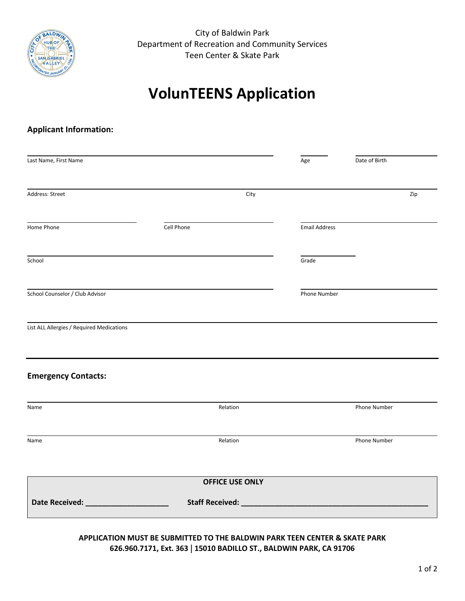

City of Baldwin Park Department of Recreation and Community Services Teen Center & Skate Park

# **VolunTEENS Application**

#### **Applicant Information:**

| City       |                        |                                               |     |
|------------|------------------------|-----------------------------------------------|-----|
|            |                        |                                               |     |
|            |                        |                                               | Zip |
| Cell Phone |                        |                                               |     |
|            |                        |                                               |     |
|            |                        |                                               |     |
|            |                        |                                               |     |
|            |                        |                                               |     |
| Relation   | Phone Number           |                                               |     |
| Relation   |                        | Phone Number                                  |     |
|            |                        |                                               |     |
|            |                        |                                               |     |
|            | <b>OFFICE USE ONLY</b> | <b>Email Address</b><br>Grade<br>Phone Number |     |

#### **APPLICATION MUST BE SUBMITTED TO THE BALDWIN PARK TEEN CENTER & SKATE PARK 626.960.7171, Ext. 363** | **15010 BADILLO ST., BALDWIN PARK, CA 91706**